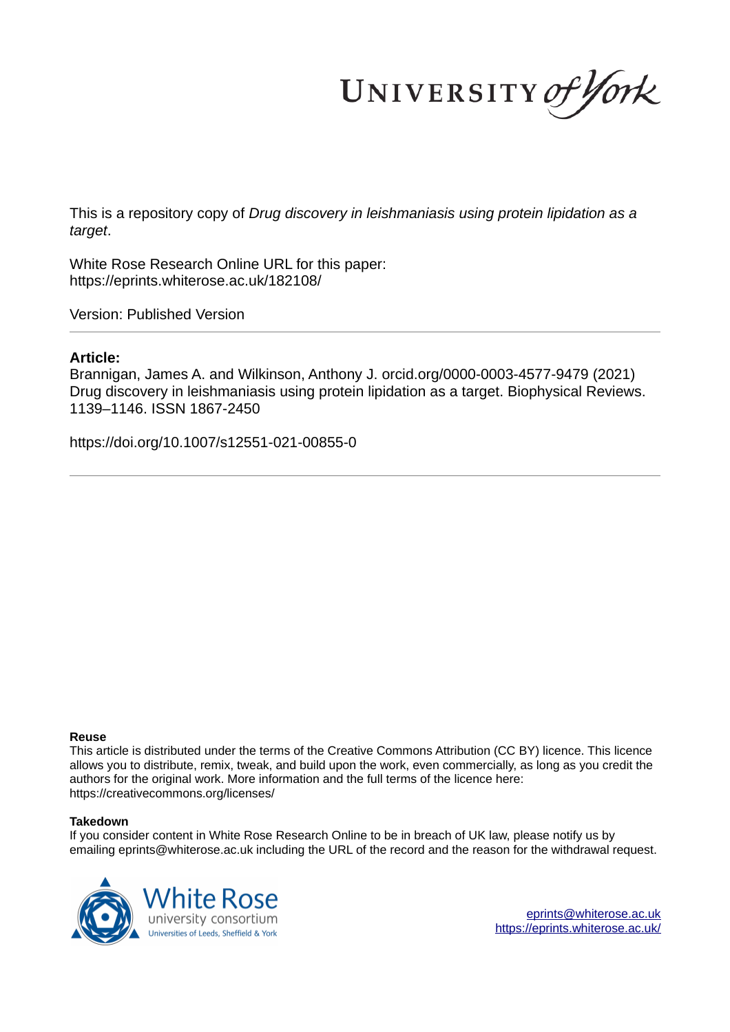UNIVERSITY of York

This is a repository copy of *Drug discovery in leishmaniasis using protein lipidation as a target*.

White Rose Research Online URL for this paper: https://eprints.whiterose.ac.uk/182108/

Version: Published Version

## **Article:**

Brannigan, James A. and Wilkinson, Anthony J. orcid.org/0000-0003-4577-9479 (2021) Drug discovery in leishmaniasis using protein lipidation as a target. Biophysical Reviews. 1139–1146. ISSN 1867-2450

https://doi.org/10.1007/s12551-021-00855-0

#### **Reuse**

This article is distributed under the terms of the Creative Commons Attribution (CC BY) licence. This licence allows you to distribute, remix, tweak, and build upon the work, even commercially, as long as you credit the authors for the original work. More information and the full terms of the licence here: https://creativecommons.org/licenses/

#### **Takedown**

If you consider content in White Rose Research Online to be in breach of UK law, please notify us by emailing eprints@whiterose.ac.uk including the URL of the record and the reason for the withdrawal request.

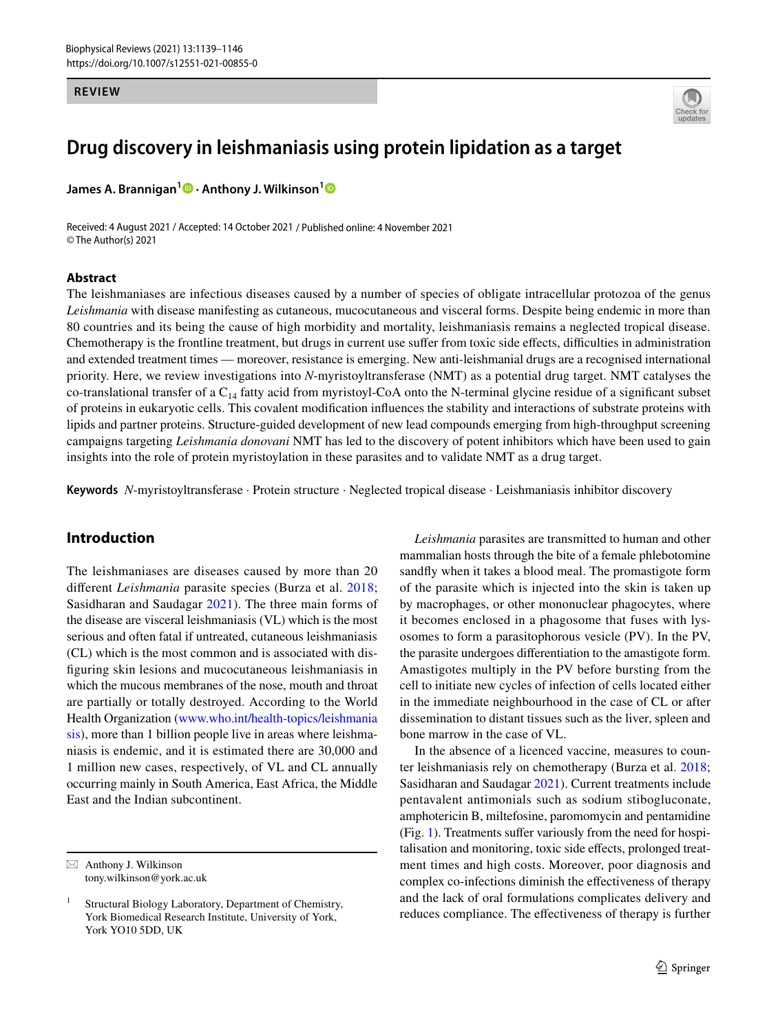#### **REVIEW**



# **Drug discovery in leishmaniasis using protein lipidation as a target**

**James A. Brannigan<sup>1</sup> · Anthony J. Wilkinson[1](http://orcid.org/0000-0003-4577-9479)**

Received: 4 August 2021 / Accepted: 14 October 2021 / Published online: 4 November 2021 © The Author(s) 2021

#### **Abstract**

The leishmaniases are infectious diseases caused by a number of species of obligate intracellular protozoa of the genus *Leishmania* with disease manifesting as cutaneous, mucocutaneous and visceral forms. Despite being endemic in more than 80 countries and its being the cause of high morbidity and mortality, leishmaniasis remains a neglected tropical disease. Chemotherapy is the frontline treatment, but drugs in current use suffer from toxic side effects, difficulties in administration and extended treatment times — moreover, resistance is emerging. New anti-leishmanial drugs are a recognised international priority. Here, we review investigations into *N*-myristoyltransferase (NMT) as a potential drug target. NMT catalyses the co-translational transfer of a  $C_{14}$  fatty acid from myristoyl-CoA onto the N-terminal glycine residue of a significant subset of proteins in eukaryotic cells. This covalent modification influences the stability and interactions of substrate proteins with lipids and partner proteins. Structure-guided development of new lead compounds emerging from high-throughput screening campaigns targeting *Leishmania donovani* NMT has led to the discovery of potent inhibitors which have been used to gain insights into the role of protein myristoylation in these parasites and to validate NMT as a drug target.

**Keywords** *N*-myristoyltransferase · Protein structure · Neglected tropical disease · Leishmaniasis inhibitor discovery

## **Introduction**

The leishmaniases are diseases caused by more than 20 different *Leishmania* parasite species (Burza et al. [2018](#page-7-0); Sasidharan and Saudagar [2021\)](#page-8-0). The three main forms of the disease are visceral leishmaniasis (VL) which is the most serious and often fatal if untreated, cutaneous leishmaniasis (CL) which is the most common and is associated with disfiguring skin lesions and mucocutaneous leishmaniasis in which the mucous membranes of the nose, mouth and throat are partially or totally destroyed. According to the World Health Organization (www.who.int/health-topics/leishmania [sis\)](http://www.who.int/health-topics/leishmaniasis), more than 1 billion people live in areas where leishmaniasis is endemic, and it is estimated there are 30,000 and 1 million new cases, respectively, of VL and CL annually occurring mainly in South America, East Africa, the Middle East and the Indian subcontinent.

*Leishmania* parasites are transmitted to human and other mammalian hosts through the bite of a female phlebotomine sandfly when it takes a blood meal. The promastigote form of the parasite which is injected into the skin is taken up by macrophages, or other mononuclear phagocytes, where it becomes enclosed in a phagosome that fuses with lysosomes to form a parasitophorous vesicle (PV). In the PV, the parasite undergoes differentiation to the amastigote form. Amastigotes multiply in the PV before bursting from the cell to initiate new cycles of infection of cells located either in the immediate neighbourhood in the case of CL or after dissemination to distant tissues such as the liver, spleen and bone marrow in the case of VL.

In the absence of a licenced vaccine, measures to counter leishmaniasis rely on chemotherapy (Burza et al. [2018](#page-7-0); Sasidharan and Saudagar [2021](#page-8-0)). Current treatments include pentavalent antimonials such as sodium stibogluconate, amphotericin B, miltefosine, paromomycin and pentamidine (Fig. [1](#page-2-0)). Treatments suffer variously from the need for hospitalisation and monitoring, toxic side effects, prolonged treatment times and high costs. Moreover, poor diagnosis and complex co-infections diminish the effectiveness of therapy and the lack of oral formulations complicates delivery and reduces compliance. The effectiveness of therapy is further

 $\boxtimes$  Anthony J. Wilkinson tony.wilkinson@york.ac.uk

<sup>1</sup> Structural Biology Laboratory, Department of Chemistry, York Biomedical Research Institute, University of York, York YO10 5DD, UK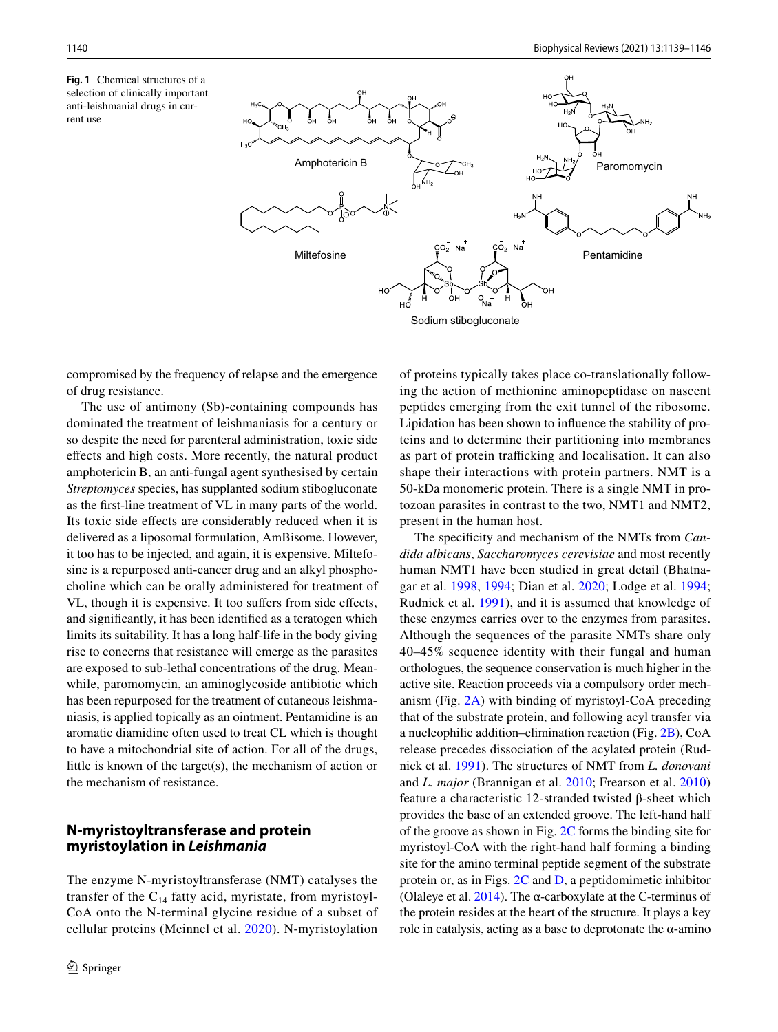<span id="page-2-0"></span>**Fig. 1** Chemical structures of a selection of clinically important anti-leishmanial drugs in current use



compromised by the frequency of relapse and the emergence of drug resistance.

The use of antimony (Sb)-containing compounds has dominated the treatment of leishmaniasis for a century or so despite the need for parenteral administration, toxic side effects and high costs. More recently, the natural product amphotericin B, an anti-fungal agent synthesised by certain *Streptomyces* species, has supplanted sodium stibogluconate as the first-line treatment of VL in many parts of the world. Its toxic side effects are considerably reduced when it is delivered as a liposomal formulation, AmBisome. However, it too has to be injected, and again, it is expensive. Miltefosine is a repurposed anti-cancer drug and an alkyl phosphocholine which can be orally administered for treatment of VL, though it is expensive. It too suffers from side effects, and significantly, it has been identified as a teratogen which limits its suitability. It has a long half-life in the body giving rise to concerns that resistance will emerge as the parasites are exposed to sub-lethal concentrations of the drug. Meanwhile, paromomycin, an aminoglycoside antibiotic which has been repurposed for the treatment of cutaneous leishmaniasis, is applied topically as an ointment. Pentamidine is an aromatic diamidine often used to treat CL which is thought to have a mitochondrial site of action. For all of the drugs, little is known of the target(s), the mechanism of action or the mechanism of resistance.

### **N‑myristoyltransferase and protein myristoylation in Leishmania**

The enzyme N-myristoyltransferase (NMT) catalyses the transfer of the  $C_{14}$  fatty acid, myristate, from myristoyl-CoA onto the N-terminal glycine residue of a subset of cellular proteins (Meinnel et al. [2020](#page-7-1)). N-myristoylation of proteins typically takes place co-translationally following the action of methionine aminopeptidase on nascent peptides emerging from the exit tunnel of the ribosome. Lipidation has been shown to influence the stability of proteins and to determine their partitioning into membranes as part of protein trafficking and localisation. It can also shape their interactions with protein partners. NMT is a 50-kDa monomeric protein. There is a single NMT in protozoan parasites in contrast to the two, NMT1 and NMT2, present in the human host.

The specificity and mechanism of the NMTs from *Candida albicans*, *Saccharomyces cerevisiae* and most recently human NMT1 have been studied in great detail (Bhatnagar et al. [1998,](#page-7-2) [1994](#page-7-3); Dian et al. [2020](#page-7-4); Lodge et al. [1994](#page-7-5); Rudnick et al. [1991](#page-7-6)), and it is assumed that knowledge of these enzymes carries over to the enzymes from parasites. Although the sequences of the parasite NMTs share only 40–45% sequence identity with their fungal and human orthologues, the sequence conservation is much higher in the active site. Reaction proceeds via a compulsory order mechanism (Fig. [2A\)](#page-3-0) with binding of myristoyl-CoA preceding that of the substrate protein, and following acyl transfer via a nucleophilic addition–elimination reaction (Fig. [2B](#page-3-0)), CoA release precedes dissociation of the acylated protein (Rudnick et al. [1991\)](#page-7-6). The structures of NMT from *L. donovani* and *L. major* (Brannigan et al. [2010;](#page-7-7) Frearson et al. [2010\)](#page-7-8) feature a characteristic 12-stranded twisted β-sheet which provides the base of an extended groove. The left-hand half of the groove as shown in Fig. [2C](#page-3-0) forms the binding site for myristoyl-CoA with the right-hand half forming a binding site for the amino terminal peptide segment of the substrate protein or, as in Figs. [2C](#page-3-0) and [D,](#page-3-0) a peptidomimetic inhibitor (Olaleye et al. [2014\)](#page-7-9). The  $\alpha$ -carboxylate at the C-terminus of the protein resides at the heart of the structure. It plays a key role in catalysis, acting as a base to deprotonate the  $\alpha$ -amino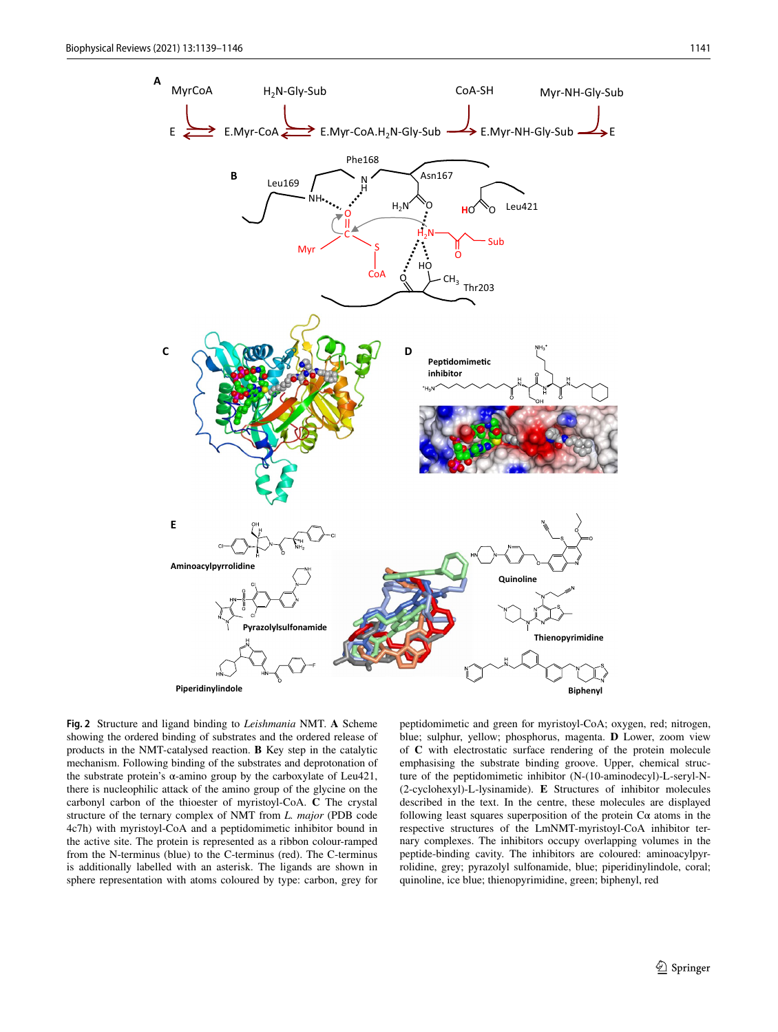

<span id="page-3-0"></span>**Fig. 2** Structure and ligand binding to *Leishmania* NMT. **A** Scheme showing the ordered binding of substrates and the ordered release of products in the NMT-catalysed reaction. **B** Key step in the catalytic mechanism. Following binding of the substrates and deprotonation of the substrate protein's α-amino group by the carboxylate of Leu421, there is nucleophilic attack of the amino group of the glycine on the carbonyl carbon of the thioester of myristoyl-CoA. **C** The crystal structure of the ternary complex of NMT from *L. major* (PDB code 4c7h) with myristoyl-CoA and a peptidomimetic inhibitor bound in the active site. The protein is represented as a ribbon colour-ramped from the N-terminus (blue) to the C-terminus (red). The C-terminus is additionally labelled with an asterisk. The ligands are shown in sphere representation with atoms coloured by type: carbon, grey for

peptidomimetic and green for myristoyl-CoA; oxygen, red; nitrogen, blue; sulphur, yellow; phosphorus, magenta. **D** Lower, zoom view of **C** with electrostatic surface rendering of the protein molecule emphasising the substrate binding groove. Upper, chemical structure of the peptidomimetic inhibitor (N-(10-aminodecyl)-L-seryl-N- (2-cyclohexyl)-L-lysinamide). **E** Structures of inhibitor molecules described in the text. In the centre, these molecules are displayed following least squares superposition of the protein  $C\alpha$  atoms in the respective structures of the LmNMT-myristoyl-CoA inhibitor ternary complexes. The inhibitors occupy overlapping volumes in the peptide-binding cavity. The inhibitors are coloured: aminoacylpyrrolidine, grey; pyrazolyl sulfonamide, blue; piperidinylindole, coral; quinoline, ice blue; thienopyrimidine, green; biphenyl, red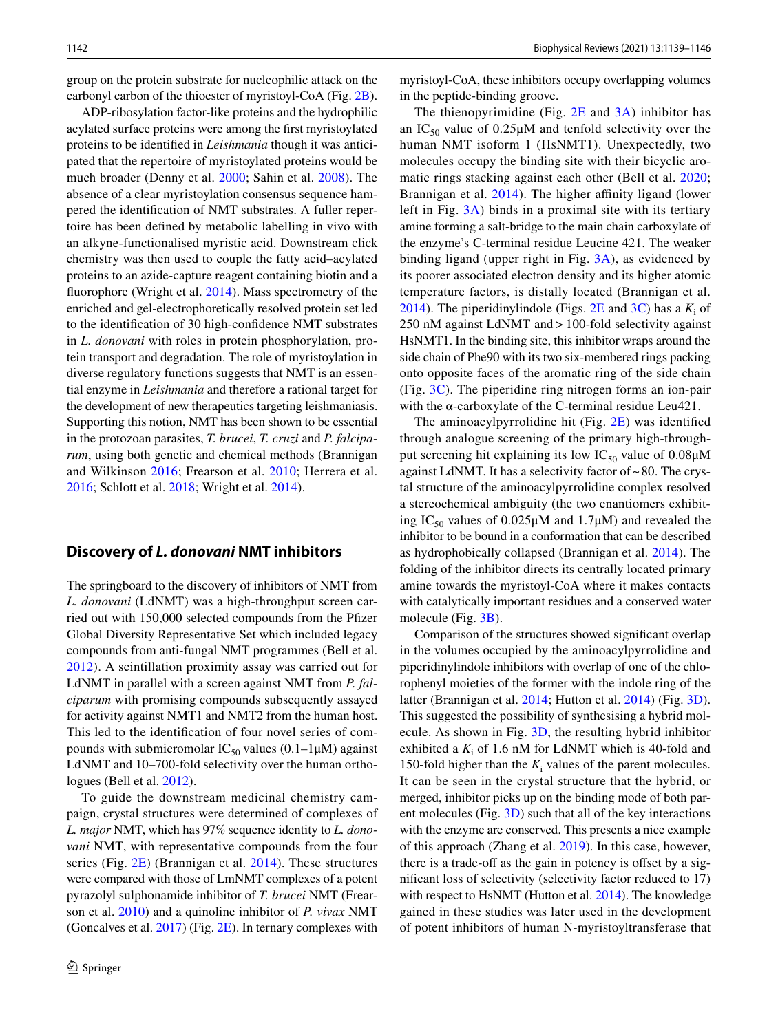group on the protein substrate for nucleophilic attack on the carbonyl carbon of the thioester of myristoyl-CoA (Fig. [2B](#page-3-0)).

ADP-ribosylation factor-like proteins and the hydrophilic acylated surface proteins were among the first myristoylated proteins to be identified in *Leishmania* though it was anticipated that the repertoire of myristoylated proteins would be much broader (Denny et al. [2000](#page-7-10); Sahin et al. [2008](#page-8-1)). The absence of a clear myristoylation consensus sequence hampered the identification of NMT substrates. A fuller repertoire has been defined by metabolic labelling in vivo with an alkyne-functionalised myristic acid. Downstream click chemistry was then used to couple the fatty acid–acylated proteins to an azide-capture reagent containing biotin and a fluorophore (Wright et al. [2014\)](#page-8-2). Mass spectrometry of the enriched and gel-electrophoretically resolved protein set led to the identification of 30 high-confidence NMT substrates in *L. donovani* with roles in protein phosphorylation, protein transport and degradation. The role of myristoylation in diverse regulatory functions suggests that NMT is an essential enzyme in *Leishmania* and therefore a rational target for the development of new therapeutics targeting leishmaniasis. Supporting this notion, NMT has been shown to be essential in the protozoan parasites, *T. brucei*, *T. cruzi* and *P. falciparum*, using both genetic and chemical methods (Brannigan and Wilkinson [2016](#page-7-11); Frearson et al. [2010;](#page-7-8) Herrera et al. [2016](#page-7-12); Schlott et al. [2018;](#page-8-3) Wright et al. [2014\)](#page-8-2).

#### **Discovery of L. donovani NMT inhibitors**

The springboard to the discovery of inhibitors of NMT from *L. donovani* (LdNMT) was a high-throughput screen carried out with 150,000 selected compounds from the Pfizer Global Diversity Representative Set which included legacy compounds from anti-fungal NMT programmes (Bell et al. [2012\)](#page-7-13). A scintillation proximity assay was carried out for LdNMT in parallel with a screen against NMT from *P. falciparum* with promising compounds subsequently assayed for activity against NMT1 and NMT2 from the human host. This led to the identification of four novel series of compounds with submicromolar  $IC_{50}$  values (0.1–1 $\mu$ M) against LdNMT and 10–700-fold selectivity over the human orthologues (Bell et al. [2012\)](#page-7-13).

To guide the downstream medicinal chemistry campaign, crystal structures were determined of complexes of *L. major* NMT, which has 97% sequence identity to *L. donovani* NMT, with representative compounds from the four series (Fig. [2E](#page-3-0)) (Brannigan et al. [2014](#page-7-14)). These structures were compared with those of LmNMT complexes of a potent pyrazolyl sulphonamide inhibitor of *T. brucei* NMT (Frearson et al. [2010\)](#page-7-8) and a quinoline inhibitor of *P. vivax* NMT (Goncalves et al.  $2017$ ) (Fig.  $2E$ ). In ternary complexes with myristoyl-CoA, these inhibitors occupy overlapping volumes in the peptide-binding groove.

The thienopyrimidine (Fig.  $2E$  and  $3A$ ) inhibitor has an  $IC_{50}$  value of 0.25 $\mu$ M and tenfold selectivity over the human NMT isoform 1 (HsNMT1). Unexpectedly, two molecules occupy the binding site with their bicyclic aromatic rings stacking against each other (Bell et al. [2020](#page-7-16); Brannigan et al. [2014](#page-7-14)). The higher affinity ligand (lower left in Fig. [3A\)](#page-5-0) binds in a proximal site with its tertiary amine forming a salt-bridge to the main chain carboxylate of the enzyme's C-terminal residue Leucine 421. The weaker binding ligand (upper right in Fig. [3A\)](#page-5-0), as evidenced by its poorer associated electron density and its higher atomic temperature factors, is distally located (Brannigan et al. [2014](#page-7-14)). The piperidinylindole (Figs.  $2E$  and  $3C$ ) has a  $K_i$  of 250 nM against LdNMT and > 100-fold selectivity against HsNMT1. In the binding site, this inhibitor wraps around the side chain of Phe90 with its two six-membered rings packing onto opposite faces of the aromatic ring of the side chain (Fig. [3C](#page-5-0)). The piperidine ring nitrogen forms an ion-pair with the  $\alpha$ -carboxylate of the C-terminal residue Leu421.

The aminoacylpyrrolidine hit (Fig. [2E](#page-3-0)) was identified through analogue screening of the primary high-throughput screening hit explaining its low  $IC_{50}$  value of 0.08 $\mu$ M against LdNMT. It has a selectivity factor of ~ 80. The crystal structure of the aminoacylpyrrolidine complex resolved a stereochemical ambiguity (the two enantiomers exhibiting IC<sub>50</sub> values of 0.025μM and 1.7μM) and revealed the inhibitor to be bound in a conformation that can be described as hydrophobically collapsed (Brannigan et al. [2014\)](#page-7-14). The folding of the inhibitor directs its centrally located primary amine towards the myristoyl-CoA where it makes contacts with catalytically important residues and a conserved water molecule (Fig. [3B](#page-5-0)).

Comparison of the structures showed significant overlap in the volumes occupied by the aminoacylpyrrolidine and piperidinylindole inhibitors with overlap of one of the chlorophenyl moieties of the former with the indole ring of the latter (Brannigan et al. [2014;](#page-7-14) Hutton et al. [2014](#page-7-17)) (Fig. [3D](#page-5-0)). This suggested the possibility of synthesising a hybrid molecule. As shown in Fig. [3D](#page-5-0), the resulting hybrid inhibitor exhibited a  $K_i$  of 1.6 nM for LdNMT which is 40-fold and 150-fold higher than the  $K_i$  values of the parent molecules. It can be seen in the crystal structure that the hybrid, or merged, inhibitor picks up on the binding mode of both parent molecules (Fig.  $3D$ ) such that all of the key interactions with the enzyme are conserved. This presents a nice example of this approach (Zhang et al. [2019](#page-8-4)). In this case, however, there is a trade-off as the gain in potency is offset by a significant loss of selectivity (selectivity factor reduced to 17) with respect to HsNMT (Hutton et al. [2014\)](#page-7-17). The knowledge gained in these studies was later used in the development of potent inhibitors of human N-myristoyltransferase that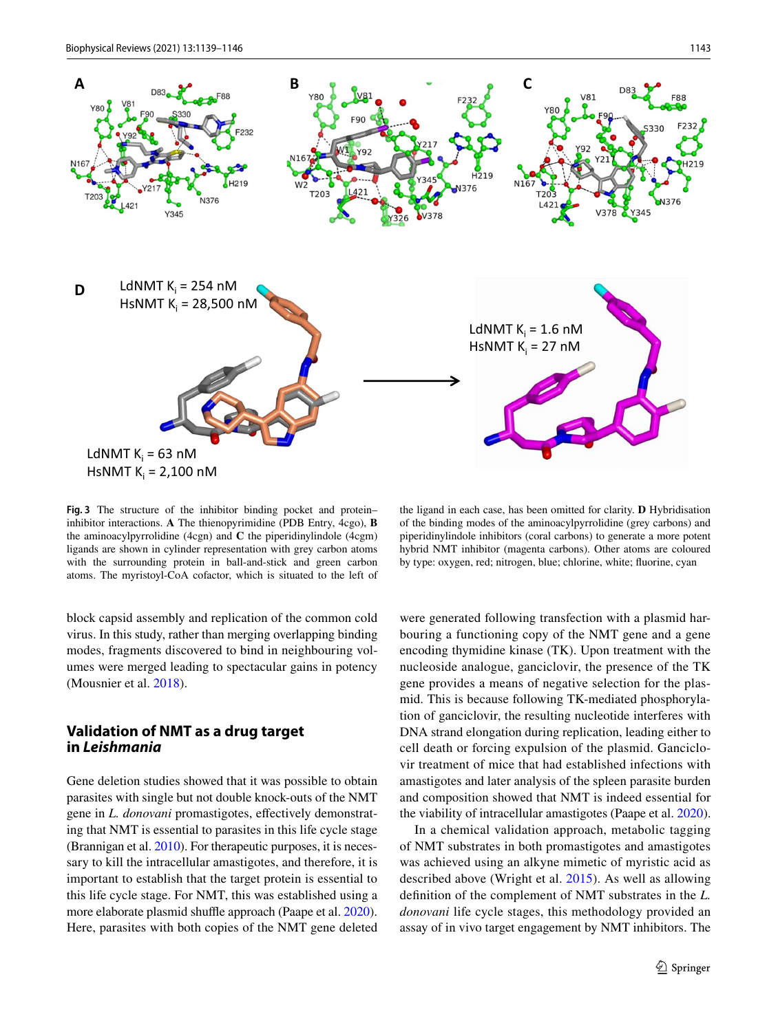

<span id="page-5-0"></span>**Fig. 3** The structure of the inhibitor binding pocket and protein– inhibitor interactions. **A** The thienopyrimidine (PDB Entry, 4cgo), **B** the aminoacylpyrrolidine (4cgn) and **C** the piperidinylindole (4cgm) ligands are shown in cylinder representation with grey carbon atoms with the surrounding protein in ball-and-stick and green carbon atoms. The myristoyl-CoA cofactor, which is situated to the left of

the ligand in each case, has been omitted for clarity. **D** Hybridisation of the binding modes of the aminoacylpyrrolidine (grey carbons) and piperidinylindole inhibitors (coral carbons) to generate a more potent hybrid NMT inhibitor (magenta carbons). Other atoms are coloured by type: oxygen, red; nitrogen, blue; chlorine, white; fluorine, cyan

block capsid assembly and replication of the common cold virus. In this study, rather than merging overlapping binding modes, fragments discovered to bind in neighbouring volumes were merged leading to spectacular gains in potency (Mousnier et al. [2018\)](#page-7-18).

## **Validation of NMT as a drug target in Leishmania**

Gene deletion studies showed that it was possible to obtain parasites with single but not double knock-outs of the NMT gene in *L. donovani* promastigotes, effectively demonstrating that NMT is essential to parasites in this life cycle stage (Brannigan et al. [2010\)](#page-7-7). For therapeutic purposes, it is necessary to kill the intracellular amastigotes, and therefore, it is important to establish that the target protein is essential to this life cycle stage. For NMT, this was established using a more elaborate plasmid shuffle approach (Paape et al. [2020](#page-7-19)). Here, parasites with both copies of the NMT gene deleted

were generated following transfection with a plasmid harbouring a functioning copy of the NMT gene and a gene encoding thymidine kinase (TK). Upon treatment with the nucleoside analogue, ganciclovir, the presence of the TK gene provides a means of negative selection for the plasmid. This is because following TK-mediated phosphorylation of ganciclovir, the resulting nucleotide interferes with DNA strand elongation during replication, leading either to cell death or forcing expulsion of the plasmid. Ganciclovir treatment of mice that had established infections with amastigotes and later analysis of the spleen parasite burden and composition showed that NMT is indeed essential for the viability of intracellular amastigotes (Paape et al. [2020](#page-7-19)).

In a chemical validation approach, metabolic tagging of NMT substrates in both promastigotes and amastigotes was achieved using an alkyne mimetic of myristic acid as described above (Wright et al. [2015](#page-8-5)). As well as allowing definition of the complement of NMT substrates in the *L. donovani* life cycle stages, this methodology provided an assay of in vivo target engagement by NMT inhibitors. The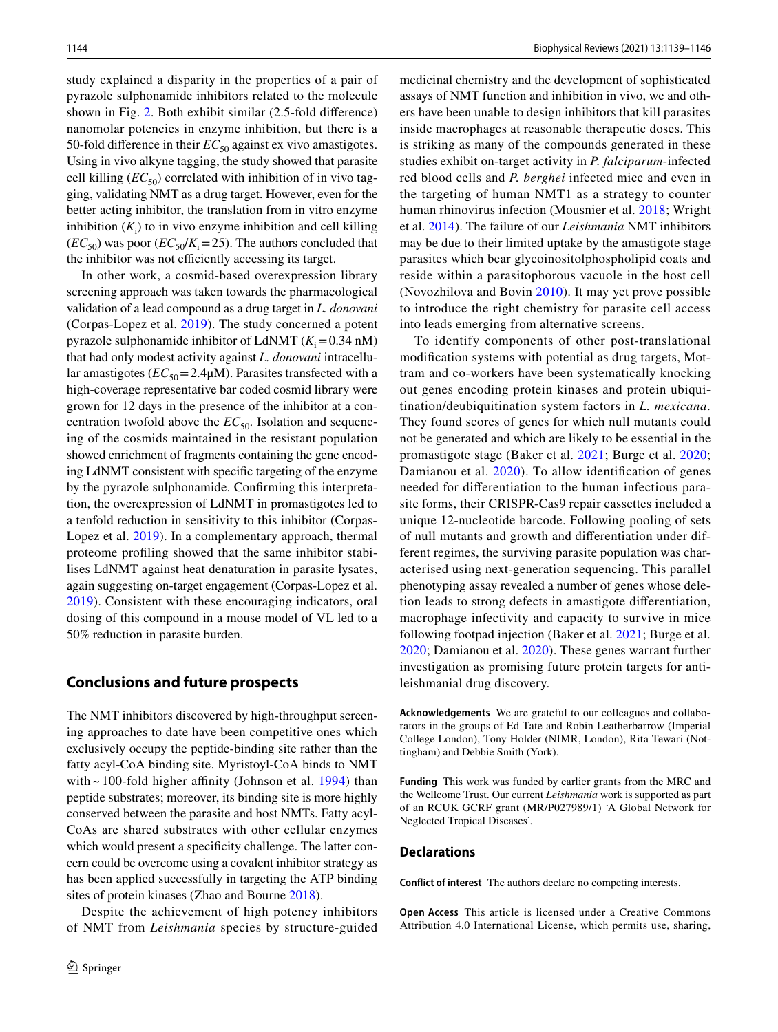study explained a disparity in the properties of a pair of pyrazole sulphonamide inhibitors related to the molecule shown in Fig. [2](#page-3-0). Both exhibit similar (2.5-fold difference) nanomolar potencies in enzyme inhibition, but there is a 50-fold difference in their  $EC_{50}$  against ex vivo amastigotes. Using in vivo alkyne tagging, the study showed that parasite cell killing  $(EC_{50})$  correlated with inhibition of in vivo tagging, validating NMT as a drug target. However, even for the better acting inhibitor, the translation from in vitro enzyme inhibition  $(K_i)$  to in vivo enzyme inhibition and cell killing  $(EC_{50})$  was poor  $(EC_{50}/K_i=25)$ . The authors concluded that the inhibitor was not efficiently accessing its target.

In other work, a cosmid-based overexpression library screening approach was taken towards the pharmacological validation of a lead compound as a drug target in *L. donovani* (Corpas-Lopez et al. [2019\)](#page-7-20). The study concerned a potent pyrazole sulphonamide inhibitor of LdNMT  $(K_i = 0.34 \text{ nM})$ that had only modest activity against *L. donovani* intracellular amastigotes  $(EC_{50} = 2.4 \mu M)$ . Parasites transfected with a high-coverage representative bar coded cosmid library were grown for 12 days in the presence of the inhibitor at a concentration twofold above the  $EC_{50}$ . Isolation and sequencing of the cosmids maintained in the resistant population showed enrichment of fragments containing the gene encoding LdNMT consistent with specific targeting of the enzyme by the pyrazole sulphonamide. Confirming this interpretation, the overexpression of LdNMT in promastigotes led to a tenfold reduction in sensitivity to this inhibitor (Corpas-Lopez et al. [2019](#page-7-20)). In a complementary approach, thermal proteome profiling showed that the same inhibitor stabilises LdNMT against heat denaturation in parasite lysates, again suggesting on-target engagement (Corpas-Lopez et al. [2019\)](#page-7-20). Consistent with these encouraging indicators, oral dosing of this compound in a mouse model of VL led to a 50% reduction in parasite burden.

#### **Conclusions and future prospects**

The NMT inhibitors discovered by high-throughput screening approaches to date have been competitive ones which exclusively occupy the peptide-binding site rather than the fatty acyl-CoA binding site. Myristoyl-CoA binds to NMT with ~ 100-fold higher affinity (Johnson et al. [1994\)](#page-7-21) than peptide substrates; moreover, its binding site is more highly conserved between the parasite and host NMTs. Fatty acyl-CoAs are shared substrates with other cellular enzymes which would present a specificity challenge. The latter concern could be overcome using a covalent inhibitor strategy as has been applied successfully in targeting the ATP binding sites of protein kinases (Zhao and Bourne [2018\)](#page-8-6).

Despite the achievement of high potency inhibitors of NMT from *Leishmania* species by structure-guided medicinal chemistry and the development of sophisticated assays of NMT function and inhibition in vivo, we and others have been unable to design inhibitors that kill parasites inside macrophages at reasonable therapeutic doses. This is striking as many of the compounds generated in these studies exhibit on-target activity in *P. falciparum*-infected red blood cells and *P. berghei* infected mice and even in the targeting of human NMT1 as a strategy to counter human rhinovirus infection (Mousnier et al. [2018;](#page-7-18) Wright et al. [2014](#page-8-2)). The failure of our *Leishmania* NMT inhibitors may be due to their limited uptake by the amastigote stage parasites which bear glycoinositolphospholipid coats and reside within a parasitophorous vacuole in the host cell (Novozhilova and Bovin [2010](#page-7-22)). It may yet prove possible to introduce the right chemistry for parasite cell access into leads emerging from alternative screens.

To identify components of other post-translational modification systems with potential as drug targets, Mottram and co-workers have been systematically knocking out genes encoding protein kinases and protein ubiquitination/deubiquitination system factors in *L. mexicana*. They found scores of genes for which null mutants could not be generated and which are likely to be essential in the promastigote stage (Baker et al. [2021](#page-7-23); Burge et al. [2020](#page-7-24); Damianou et al. [2020\)](#page-7-25). To allow identification of genes needed for differentiation to the human infectious parasite forms, their CRISPR-Cas9 repair cassettes included a unique 12-nucleotide barcode. Following pooling of sets of null mutants and growth and differentiation under different regimes, the surviving parasite population was characterised using next-generation sequencing. This parallel phenotyping assay revealed a number of genes whose deletion leads to strong defects in amastigote differentiation, macrophage infectivity and capacity to survive in mice following footpad injection (Baker et al. [2021](#page-7-23); Burge et al. [2020;](#page-7-24) Damianou et al. [2020](#page-7-25)). These genes warrant further investigation as promising future protein targets for antileishmanial drug discovery.

**Acknowledgements** We are grateful to our colleagues and collaborators in the groups of Ed Tate and Robin Leatherbarrow (Imperial College London), Tony Holder (NIMR, London), Rita Tewari (Nottingham) and Debbie Smith (York).

**Funding** This work was funded by earlier grants from the MRC and the Wellcome Trust. Our current *Leishmania* work is supported as part of an RCUK GCRF grant (MR/P027989/1) 'A Global Network for Neglected Tropical Diseases'.

#### **Declarations**

**Conflict of interest** The authors declare no competing interests.

**Open Access** This article is licensed under a Creative Commons Attribution 4.0 International License, which permits use, sharing,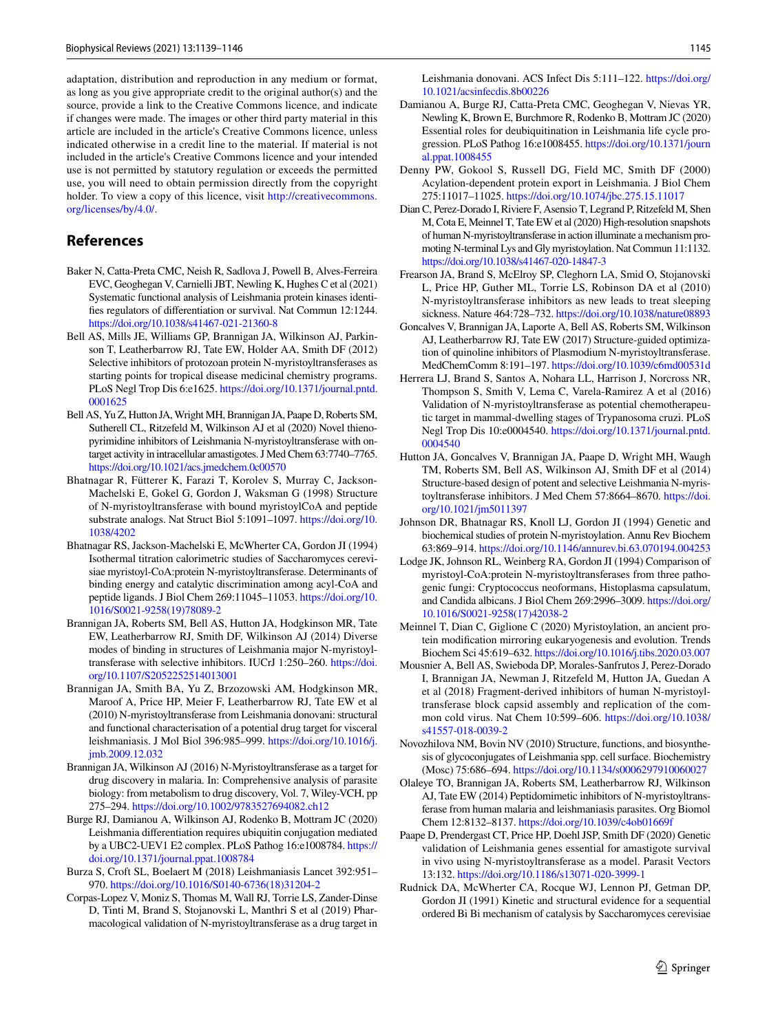adaptation, distribution and reproduction in any medium or format, as long as you give appropriate credit to the original author(s) and the source, provide a link to the Creative Commons licence, and indicate if changes were made. The images or other third party material in this article are included in the article's Creative Commons licence, unless indicated otherwise in a credit line to the material. If material is not included in the article's Creative Commons licence and your intended use is not permitted by statutory regulation or exceeds the permitted use, you will need to obtain permission directly from the copyright holder. To view a copy of this licence, visit http://creativecommons. org/licenses/by/4.0/.

### **References**

- <span id="page-7-23"></span>Baker N, Catta-Preta CMC, Neish R, Sadlova J, Powell B, Alves-Ferreira EVC, Geoghegan V, Carnielli JBT, Newling K, Hughes C et al (2021) Systematic functional analysis of Leishmania protein kinases identifies regulators of differentiation or survival. Nat Commun 12:1244. https://doi.org/10.1038/s41467-021-21360-8
- <span id="page-7-13"></span>Bell AS, Mills JE, Williams GP, Brannigan JA, Wilkinson AJ, Parkinson T, Leatherbarrow RJ, Tate EW, Holder AA, Smith DF (2012) Selective inhibitors of protozoan protein N-myristoyltransferases as starting points for tropical disease medicinal chemistry programs. PLoS Negl Trop Dis 6:e1625. https://doi.org/10.1371/journal.pntd. 0001625
- <span id="page-7-16"></span>Bell AS, Yu Z, Hutton JA, Wright MH, Brannigan JA, Paape D, Roberts SM, Sutherell CL, Ritzefeld M, Wilkinson AJ et al (2020) Novel thienopyrimidine inhibitors of Leishmania N-myristoyltransferase with ontarget activity in intracellular amastigotes. J Med Chem 63:7740–7765. https://doi.org/10.1021/acs.jmedchem.0c00570
- <span id="page-7-2"></span>Bhatnagar R, Fütterer K, Farazi T, Korolev S, Murray C, Jackson-Machelski E, Gokel G, Gordon J, Waksman G (1998) Structure of N-myristoyltransferase with bound myristoylCoA and peptide substrate analogs. Nat Struct Biol 5:1091-1097. https://doi.org/10. 1038/4202
- <span id="page-7-3"></span>Bhatnagar RS, Jackson-Machelski E, McWherter CA, Gordon JI (1994) Isothermal titration calorimetric studies of Saccharomyces cerevisiae myristoyl-CoA:protein N-myristoyltransferase. Determinants of binding energy and catalytic discrimination among acyl-CoA and peptide ligands. J Biol Chem 269:11045-11053. https://doi.org/10. 1016/S0021-9258(19)78089-2
- <span id="page-7-14"></span>Brannigan JA, Roberts SM, Bell AS, Hutton JA, Hodgkinson MR, Tate EW, Leatherbarrow RJ, Smith DF, Wilkinson AJ (2014) Diverse modes of binding in structures of Leishmania major N-myristoyltransferase with selective inhibitors. IUCrJ 1:250-260. https://doi. org/10.1107/S2052252514013001
- <span id="page-7-7"></span>Brannigan JA, Smith BA, Yu Z, Brzozowski AM, Hodgkinson MR, Maroof A, Price HP, Meier F, Leatherbarrow RJ, Tate EW et al (2010) N-myristoyltransferase from Leishmania donovani: structural and functional characterisation of a potential drug target for visceral leishmaniasis. J Mol Biol 396:985-999. https://doi.org/10.1016/j. imb. 2009. 12. 032
- <span id="page-7-11"></span>Brannigan JA, Wilkinson AJ (2016) N-Myristoyltransferase as a target for drug discovery in malaria. In: Comprehensive analysis of parasite biology: from metabolism to drug discovery, Vol. 7, Wiley-VCH, pp 275–294. https://doi.org/10.1002/9783527694082.ch12
- <span id="page-7-24"></span>Burge RJ, Damianou A, Wilkinson AJ, Rodenko B, Mottram JC (2020) Leishmania differentiation requires ubiquitin conjugation mediated by a UBC2-UEV1 E2 complex. PLoS Pathog 16:e1008784. [https://](https://doi.org/10.1371/journal.ppat.1008784) doi.org/10.1371/journal.ppat.1008784
- <span id="page-7-0"></span>Burza S, Croft SL, Boelaert M (2018) Leishmaniasis Lancet 392:951– 970. https://doi.org/10.1016/S0140-6736(18)31204-2
- <span id="page-7-20"></span>Corpas-Lopez V, Moniz S, Thomas M, Wall RJ, Torrie LS, Zander-Dinse D, Tinti M, Brand S, Stojanovski L, Manthri S et al (2019) Pharmacological validation of N-myristoyltransferase as a drug target in

Leishmania donovani. ACS Infect Dis 5:111-122. https://doi.org/ [10. 1021/ acsin fecdis. 8b002 26](https://doi.org/10.1021/acsinfecdis.8b00226)

- <span id="page-7-25"></span>Damianou A, Burge RJ, Catta-Preta CMC, Geoghegan V, Nievas YR, Newling K, Brown E, Burchmore R, Rodenko B, Mottram JC (2020) Essential roles for deubiquitination in Leishmania life cycle progression. PLoS Pathog 16:e1008455. https://doi.org/10.1371/journ al.ppat. 1008455
- <span id="page-7-10"></span>Denny PW, Gokool S, Russell DG, Field MC, Smith DF (2000) Acylation-dependent protein export in Leishmania. J Biol Chem 275:11017–11025. [https:// doi. org/ 10. 1074/ jbc. 275. 15. 11017](https://doi.org/10.1074/jbc.275.15.11017)
- <span id="page-7-4"></span>Dian C, Perez-Dorado I, Riviere F, Asensio T, Legrand P, Ritzefeld M, Shen M, Cota E, Meinnel T, Tate EW et al (2020) High-resolution snapshots of human N-myristoyltransferase in action illuminate a mechanism promoting N-terminal Lys and Gly myristoylation. Nat Commun 11:1132. https://doi.org/10.1038/s41467-020-14847-3
- <span id="page-7-8"></span>Frearson JA, Brand S, McElroy SP, Cleghorn LA, Smid O, Stojanovski L, Price HP, Guther ML, Torrie LS, Robinson DA et al (2010) N-myristoyltransferase inhibitors as new leads to treat sleeping sickness. Nature 464:728-732. https://doi.org/10.1038/nature08893
- <span id="page-7-15"></span>Goncalves V, Brannigan JA, Laporte A, Bell AS, Roberts SM, Wilkinson AJ, Leatherbarrow RJ, Tate EW (2017) Structure-guided optimization of quinoline inhibitors of Plasmodium N-myristoyltransferase. MedChemComm 8:191-197. https://doi.org/10.1039/c6md00531d
- <span id="page-7-12"></span>Herrera LJ, Brand S, Santos A, Nohara LL, Harrison J, Norcross NR, Thompson S, Smith V, Lema C, Varela-Ramirez A et al (2016) Validation of N-myristoyltransferase as potential chemotherapeutic target in mammal-dwelling stages of Trypanosoma cruzi. PLoS Negl Trop Dis 10:e0004540. https://doi.org/10.1371/journal.pntd. 0004540
- <span id="page-7-17"></span>Hutton JA, Goncalves V, Brannigan JA, Paape D, Wright MH, Waugh TM, Roberts SM, Bell AS, Wilkinson AJ, Smith DF et al (2014) Structure-based design of potent and selective Leishmania N-myristoyltransferase inhibitors. J Med Chem 57:8664-8670. https://doi. org/10.1021/jm5011397
- <span id="page-7-21"></span>Johnson DR, Bhatnagar RS, Knoll LJ, Gordon JI (1994) Genetic and biochemical studies of protein N-myristoylation. Annu Rev Biochem 63:869-914. https://doi.org/10.1146/annurev.bi.63.070194.004253
- <span id="page-7-5"></span>Lodge JK, Johnson RL, Weinberg RA, Gordon JI (1994) Comparison of myristoyl-CoA:protein N-myristoyltransferases from three pathogenic fungi: Cryptococcus neoformans, Histoplasma capsulatum, and Candida albicans. J Biol Chem 269:2996–3009. [https:// doi. org/](https://doi.org/10.1016/S0021-9258(17)42038-2) 10.1016/S0021-9258(17)42038-2
- <span id="page-7-1"></span>Meinnel T, Dian C, Giglione C (2020) Myristoylation, an ancient protein modification mirroring eukaryogenesis and evolution. Trends Biochem Sci 45:619–632. [https:// doi. org/ 10. 1016/j. tibs. 2020. 03. 007](https://doi.org/10.1016/j.tibs.2020.03.007)
- <span id="page-7-18"></span>Mousnier A, Bell AS, Swieboda DP, Morales-Sanfrutos J, Perez-Dorado I, Brannigan JA, Newman J, Ritzefeld M, Hutton JA, Guedan A et al (2018) Fragment-derived inhibitors of human N-myristoyltransferase block capsid assembly and replication of the common cold virus. Nat Chem 10:599–606. [https:// doi. org/ 10. 1038/](https://doi.org/10.1038/s41557-018-0039-2) s41557-018-0039-2
- <span id="page-7-22"></span>Novozhilova NM, Bovin NV (2010) Structure, functions, and biosynthesis of glycoconjugates of Leishmania spp. cell surface. Biochemistry (Mosc) 75:686-694. https://doi.org/10.1134/s0006297910060027
- <span id="page-7-9"></span>Olaleye TO, Brannigan JA, Roberts SM, Leatherbarrow RJ, Wilkinson AJ, Tate EW (2014) Peptidomimetic inhibitors of N-myristoyltransferase from human malaria and leishmaniasis parasites. Org Biomol Chem 12:8132-8137. https://doi.org/10.1039/c4ob01669f
- <span id="page-7-19"></span>Paape D, Prendergast CT, Price HP, Doehl JSP, Smith DF (2020) Genetic validation of Leishmania genes essential for amastigote survival in vivo using N-myristoyltransferase as a model. Parasit Vectors 13:132. https://doi.org/10.1186/s13071-020-3999-1
- <span id="page-7-6"></span>Rudnick DA, McWherter CA, Rocque WJ, Lennon PJ, Getman DP, Gordon JI (1991) Kinetic and structural evidence for a sequential ordered Bi Bi mechanism of catalysis by Saccharomyces cerevisiae